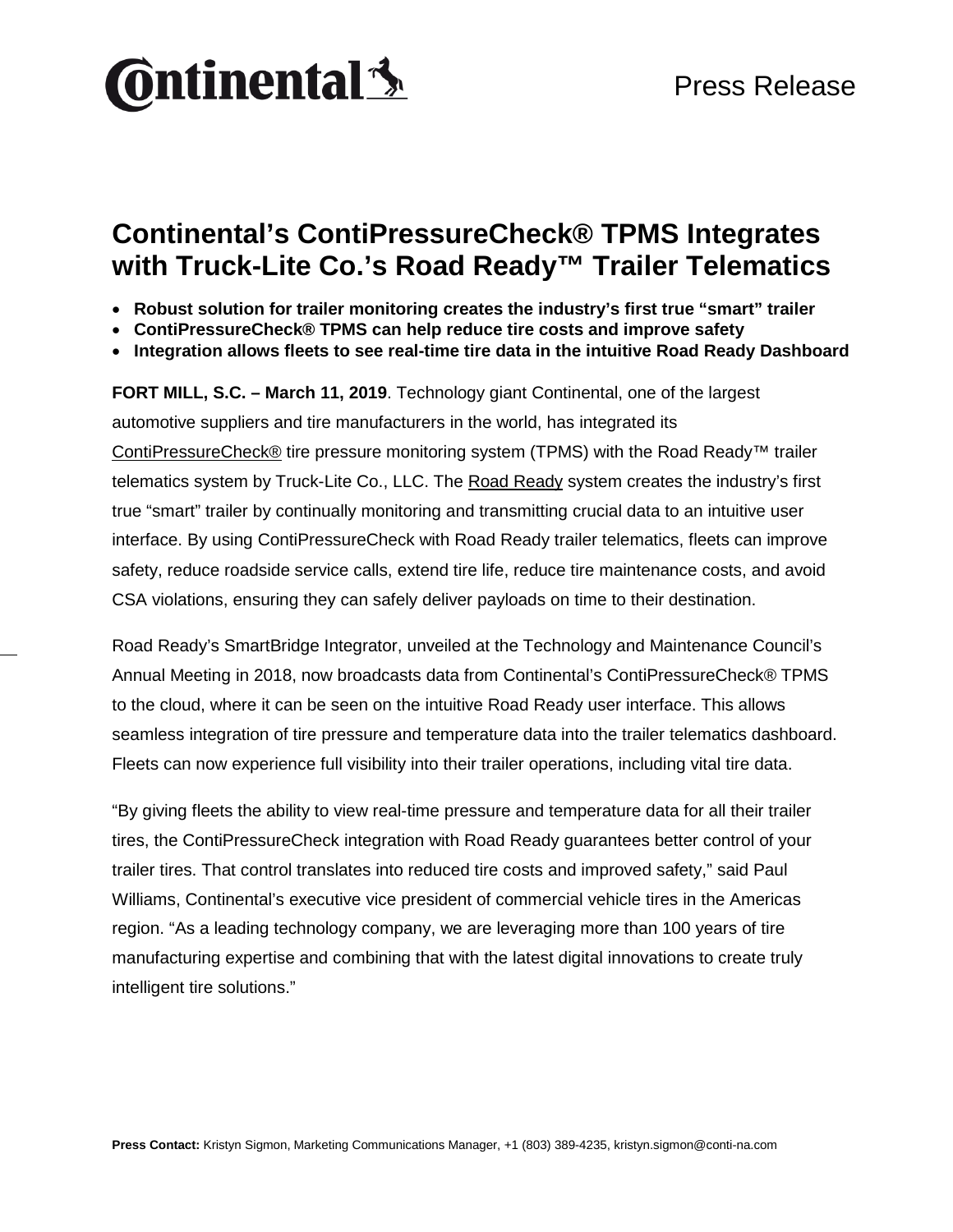

### **Continental's ContiPressureCheck® TPMS Integrates with Truck-Lite Co.'s Road Ready™ Trailer Telematics**

- **Robust solution for trailer monitoring creates the industry's first true "smart" trailer**
- **ContiPressureCheck® TPMS can help reduce tire costs and improve safety**
- **Integration allows fleets to see real-time tire data in the intuitive Road Ready Dashboard**

**FORT MILL, S.C. – March 11, 2019**. Technology giant Continental, one of the largest automotive suppliers and tire manufacturers in the world, has integrated its [ContiPressureCheck®](https://www.continental-truck.com/truck/products/overview-product-lines/contipressurecheck) tire pressure monitoring system (TPMS) with the Road Ready™ trailer telematics system by Truck-Lite Co., LLC. The [Road Ready](https://www.roadreadysystem.com/) system creates the industry's first true "smart" trailer by continually monitoring and transmitting crucial data to an intuitive user interface. By using ContiPressureCheck with Road Ready trailer telematics, fleets can improve safety, reduce roadside service calls, extend tire life, reduce tire maintenance costs, and avoid CSA violations, ensuring they can safely deliver payloads on time to their destination.

Road Ready's SmartBridge Integrator, unveiled at the Technology and Maintenance Council's Annual Meeting in 2018, now broadcasts data from Continental's ContiPressureCheck® TPMS to the cloud, where it can be seen on the intuitive Road Ready user interface. This allows seamless integration of tire pressure and temperature data into the trailer telematics dashboard. Fleets can now experience full visibility into their trailer operations, including vital tire data.

"By giving fleets the ability to view real-time pressure and temperature data for all their trailer tires, the ContiPressureCheck integration with Road Ready guarantees better control of your trailer tires. That control translates into reduced tire costs and improved safety," said Paul Williams, Continental's executive vice president of commercial vehicle tires in the Americas region. "As a leading technology company, we are leveraging more than 100 years of tire manufacturing expertise and combining that with the latest digital innovations to create truly intelligent tire solutions."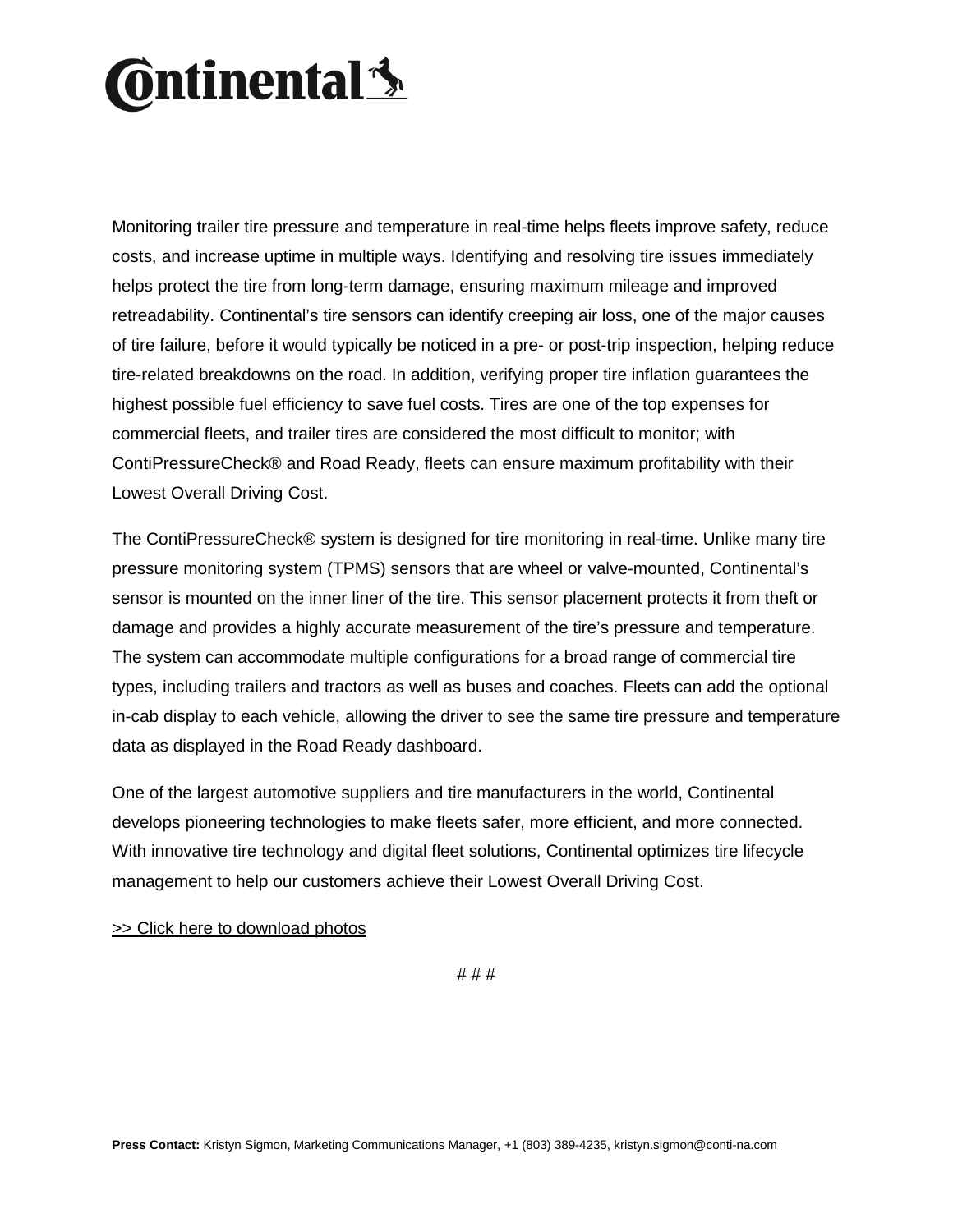# **Ontinental**<sup>1</sup>

Monitoring trailer tire pressure and temperature in real-time helps fleets improve safety, reduce costs, and increase uptime in multiple ways. Identifying and resolving tire issues immediately helps protect the tire from long-term damage, ensuring maximum mileage and improved retreadability. Continental's tire sensors can identify creeping air loss, one of the major causes of tire failure, before it would typically be noticed in a pre- or post-trip inspection, helping reduce tire-related breakdowns on the road. In addition, verifying proper tire inflation guarantees the highest possible fuel efficiency to save fuel costs. Tires are one of the top expenses for commercial fleets, and trailer tires are considered the most difficult to monitor; with ContiPressureCheck® and Road Ready, fleets can ensure maximum profitability with their Lowest Overall Driving Cost.

The ContiPressureCheck® system is designed for tire monitoring in real-time. Unlike many tire pressure monitoring system (TPMS) sensors that are wheel or valve-mounted, Continental's sensor is mounted on the inner liner of the tire. This sensor placement protects it from theft or damage and provides a highly accurate measurement of the tire's pressure and temperature. The system can accommodate multiple configurations for a broad range of commercial tire types, including trailers and tractors as well as buses and coaches. Fleets can add the optional in-cab display to each vehicle, allowing the driver to see the same tire pressure and temperature data as displayed in the Road Ready dashboard.

One of the largest automotive suppliers and tire manufacturers in the world, Continental develops pioneering technologies to make fleets safer, more efficient, and more connected. With innovative tire technology and digital fleet solutions, Continental optimizes tire lifecycle management to help our customers achieve their Lowest Overall Driving Cost.

[>> Click here to download photos](https://conti-na.sharefile.com/d-s8a76347aff24ef38)

# # #